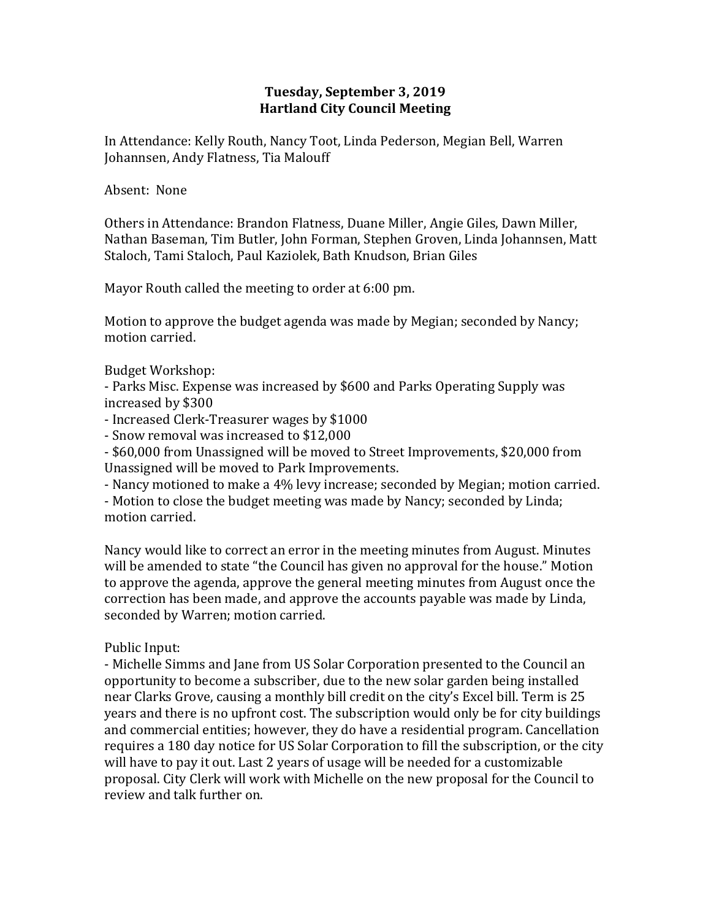## **Tuesday, September 3, 2019 Hartland City Council Meeting**

In Attendance: Kelly Routh, Nancy Toot, Linda Pederson, Megian Bell, Warren Johannsen, Andy Flatness, Tia Malouff

### Absent: None

Others in Attendance: Brandon Flatness, Duane Miller, Angie Giles, Dawn Miller, Nathan Baseman, Tim Butler, John Forman, Stephen Groven, Linda Johannsen, Matt Staloch, Tami Staloch, Paul Kaziolek, Bath Knudson, Brian Giles

Mayor Routh called the meeting to order at 6:00 pm.

Motion to approve the budget agenda was made by Megian; seconded by Nancy; motion carried.

## Budget Workshop:

- Parks Misc. Expense was increased by \$600 and Parks Operating Supply was increased by \$300

- Increased Clerk-Treasurer wages by \$1000

- Snow removal was increased to \$12,000

- \$60,000 from Unassigned will be moved to Street Improvements, \$20,000 from Unassigned will be moved to Park Improvements.

- Nancy motioned to make a 4% levy increase; seconded by Megian; motion carried.

- Motion to close the budget meeting was made by Nancy; seconded by Linda; motion carried.

Nancy would like to correct an error in the meeting minutes from August. Minutes will be amended to state "the Council has given no approval for the house." Motion to approve the agenda, approve the general meeting minutes from August once the correction has been made, and approve the accounts payable was made by Linda, seconded by Warren; motion carried.

# Public Input:

- Michelle Simms and Jane from US Solar Corporation presented to the Council an opportunity to become a subscriber, due to the new solar garden being installed near Clarks Grove, causing a monthly bill credit on the city's Excel bill. Term is 25 years and there is no upfront cost. The subscription would only be for city buildings and commercial entities; however, they do have a residential program. Cancellation requires a 180 day notice for US Solar Corporation to fill the subscription, or the city will have to pay it out. Last 2 years of usage will be needed for a customizable proposal. City Clerk will work with Michelle on the new proposal for the Council to review and talk further on.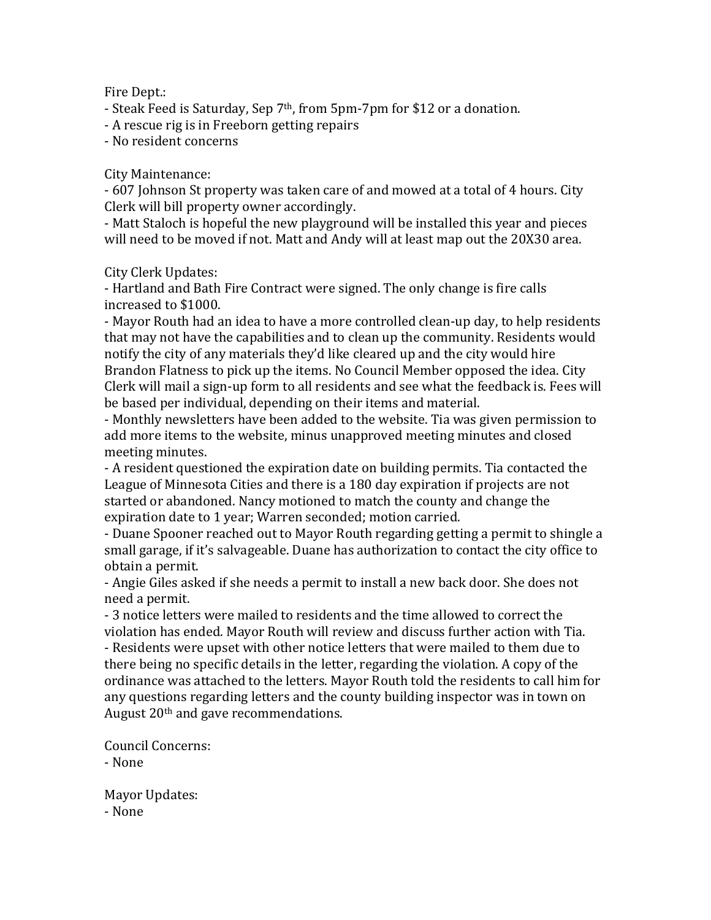### Fire Dept.:

- Steak Feed is Saturday, Sep 7<sup>th</sup>, from 5pm-7pm for \$12 or a donation.

- A rescue rig is in Freeborn getting repairs

- No resident concerns

#### City Maintenance:

- 607 Johnson St property was taken care of and mowed at a total of 4 hours. City Clerk will bill property owner accordingly.

- Matt Staloch is hopeful the new playground will be installed this year and pieces will need to be moved if not. Matt and Andy will at least map out the 20X30 area.

City Clerk Updates:

- Hartland and Bath Fire Contract were signed. The only change is fire calls increased to \$1000.

- Mayor Routh had an idea to have a more controlled clean-up day, to help residents that may not have the capabilities and to clean up the community. Residents would notify the city of any materials they'd like cleared up and the city would hire Brandon Flatness to pick up the items. No Council Member opposed the idea. City Clerk will mail a sign-up form to all residents and see what the feedback is. Fees will be based per individual, depending on their items and material.

- Monthly newsletters have been added to the website. Tia was given permission to add more items to the website, minus unapproved meeting minutes and closed meeting minutes.

- A resident questioned the expiration date on building permits. Tia contacted the League of Minnesota Cities and there is a 180 day expiration if projects are not started or abandoned. Nancy motioned to match the county and change the expiration date to 1 year; Warren seconded; motion carried.

- Duane Spooner reached out to Mayor Routh regarding getting a permit to shingle a small garage, if it's salvageable. Duane has authorization to contact the city office to obtain a permit.

- Angie Giles asked if she needs a permit to install a new back door. She does not need a permit.

- 3 notice letters were mailed to residents and the time allowed to correct the violation has ended. Mayor Routh will review and discuss further action with Tia. - Residents were upset with other notice letters that were mailed to them due to there being no specific details in the letter, regarding the violation. A copy of the ordinance was attached to the letters. Mayor Routh told the residents to call him for any questions regarding letters and the county building inspector was in town on August 20th and gave recommendations.

Council Concerns: - None

Mayor Updates: - None